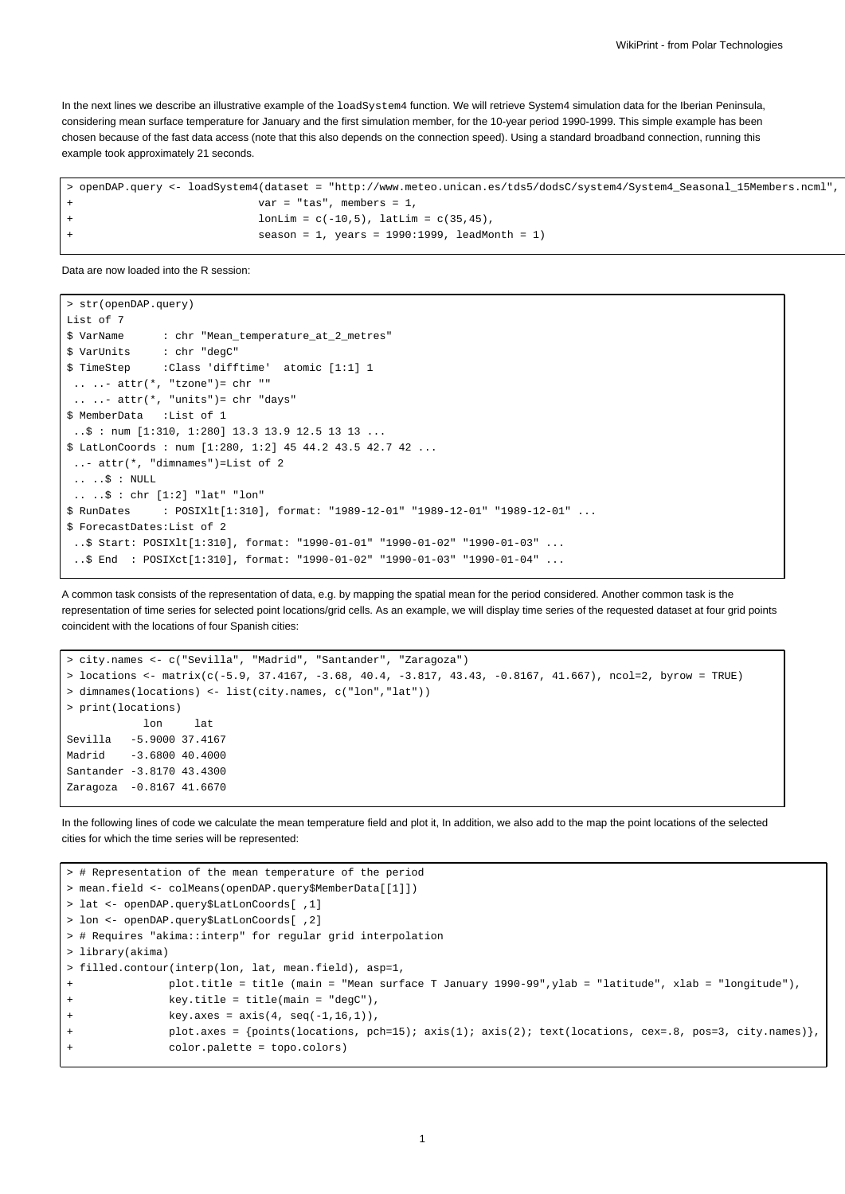In the next lines we describe an illustrative example of the loadSystem4 function. We will retrieve System4 simulation data for the Iberian Peninsula, considering mean surface temperature for January and the first simulation member, for the 10-year period 1990-1999. This simple example has been chosen because of the fast data access (note that this also depends on the connection speed). Using a standard broadband connection, running this example took approximately 21 seconds.

```
> openDAP.query <- loadSystem4(dataset = "http://www.meteo.unican.es/tds5/dodsC/system4/System4_Seasonal_15Members.ncml",
                             var = "tas", members = 1,
                             lonLim = c(-10.5), latLim = c(35.45),
                             season = 1, years = 1990:1999, leadMonth = 1)
```
Data are now loaded into the R session:

```
> str(openDAP.query)
List of 7
$ VarName : chr "Mean_temperature_at_2_metres"
$ VarUnits : chr "degC"
$ TimeStep :Class 'difftime' atomic [1:1] 1
 \ldots \ldots attr(*, "tzone")= chr ""
 \ldots \ldots - attr(*, "units")= chr "days"
$ MemberData :List of 1
 ..$ : num [1:310, 1:280] 13.3 13.9 12.5 13 13 ...
$ LatLonCoords : num [1:280, 1:2] 45 44.2 43.5 42.7 42 ...
 ..- attr(*, "dimnames")=List of 2
 .. ..\upbeta : NULL
 .. ..$ : chr [1:2] "lat" "lon"
$ RunDates : POSIXlt[1:310], format: "1989-12-01" "1989-12-01" "1989-12-01" ...
$ ForecastDates:List of 2
 ..$ Start: POSIXlt[1:310], format: "1990-01-01" "1990-01-02" "1990-01-03" ...
 ..$ End : POSIXct[1:310], format: "1990-01-02" "1990-01-03" "1990-01-04" ...
```
A common task consists of the representation of data, e.g. by mapping the spatial mean for the period considered. Another common task is the representation of time series for selected point locations/grid cells. As an example, we will display time series of the requested dataset at four grid points coincident with the locations of four Spanish cities:

```
> city.names <- c("Sevilla", "Madrid", "Santander", "Zaragoza")
> locations <- matrix(c(-5.9, 37.4167, -3.68, 40.4, -3.817, 43.43, -0.8167, 41.667), ncol=2, byrow = TRUE)
> dimnames(locations) <- list(city.names, c("lon","lat"))
> print(locations)
           lon lat
Sevilla -5.9000 37.4167
Madrid -3.6800 40.4000
Santander -3.8170 43.4300
Zaragoza -0.8167 41.6670
```
In the following lines of code we calculate the mean temperature field and plot it, In addition, we also add to the map the point locations of the selected cities for which the time series will be represented:

```
> # Representation of the mean temperature of the period
> mean.field <- colMeans(openDAP.query$MemberData[[1]])
> lat <- openDAP.query$LatLonCoords[ ,1]
> lon <- openDAP.query$LatLonCoords[ ,2]
> # Requires "akima::interp" for regular grid interpolation
> library(akima)
> filled.contour(interp(lon, lat, mean.field), asp=1,
               + plot.title = title (main = "Mean surface T January 1990-99",ylab = "latitude", xlab = "longitude"),
               key.title = title(maxin = "degC"),
               key.axes = axis(4, seq(-1, 16, 1)),+ plot.axes = {points(locations, pch=15); axis(1); axis(2); text(locations, cex=.8, pos=3, city.names)},
               + color.palette = topo.colors)
```